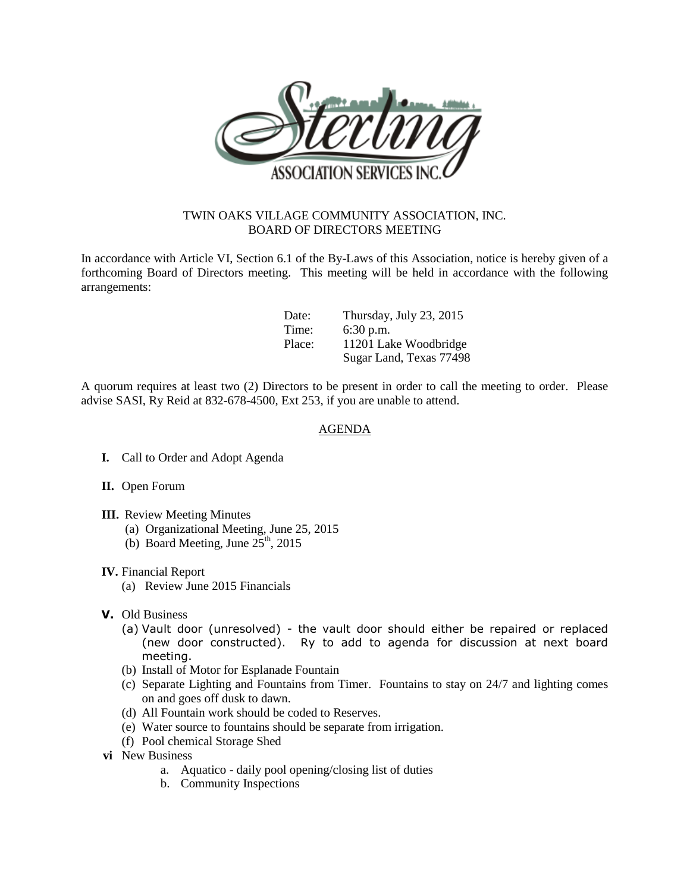

## TWIN OAKS VILLAGE COMMUNITY ASSOCIATION, INC. BOARD OF DIRECTORS MEETING

In accordance with Article VI, Section 6.1 of the By-Laws of this Association, notice is hereby given of a forthcoming Board of Directors meeting. This meeting will be held in accordance with the following arrangements:

| Date:  | Thursday, July 23, 2015 |
|--------|-------------------------|
| Time:  | $6:30$ p.m.             |
| Place: | 11201 Lake Woodbridge   |
|        | Sugar Land, Texas 77498 |

A quorum requires at least two (2) Directors to be present in order to call the meeting to order. Please advise SASI, Ry Reid at 832-678-4500, Ext 253, if you are unable to attend.

## AGENDA

- **I.** Call to Order and Adopt Agenda
- **II.** Open Forum
- **III.** Review Meeting Minutes
	- (a) Organizational Meeting, June 25, 2015
	- (b) Board Meeting, June  $25<sup>th</sup>$ , 2015

## **IV.** Financial Report

- (a) Review June 2015 Financials
- **V.** Old Business
	- (a) Vault door (unresolved) the vault door should either be repaired or replaced (new door constructed). Ry to add to agenda for discussion at next board meeting.
	- (b) Install of Motor for Esplanade Fountain
	- (c) Separate Lighting and Fountains from Timer. Fountains to stay on 24/7 and lighting comes on and goes off dusk to dawn.
	- (d) All Fountain work should be coded to Reserves.
	- (e) Water source to fountains should be separate from irrigation.
	- (f) Pool chemical Storage Shed
- **vi** New Business
	- a. Aquatico daily pool opening/closing list of duties
	- b. Community Inspections